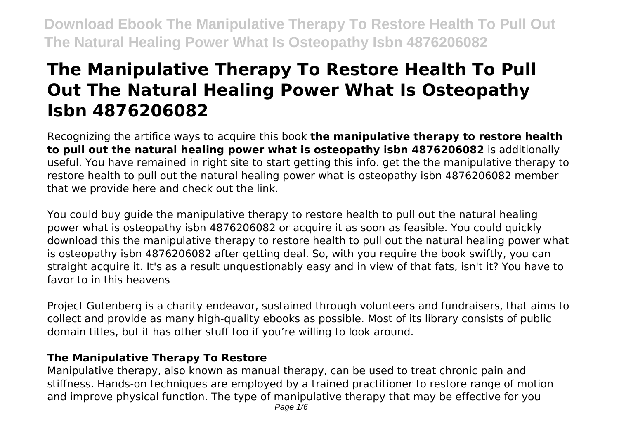# **The Manipulative Therapy To Restore Health To Pull Out The Natural Healing Power What Is Osteopathy Isbn 4876206082**

Recognizing the artifice ways to acquire this book **the manipulative therapy to restore health to pull out the natural healing power what is osteopathy isbn 4876206082** is additionally useful. You have remained in right site to start getting this info. get the the manipulative therapy to restore health to pull out the natural healing power what is osteopathy isbn 4876206082 member that we provide here and check out the link.

You could buy guide the manipulative therapy to restore health to pull out the natural healing power what is osteopathy isbn 4876206082 or acquire it as soon as feasible. You could quickly download this the manipulative therapy to restore health to pull out the natural healing power what is osteopathy isbn 4876206082 after getting deal. So, with you require the book swiftly, you can straight acquire it. It's as a result unquestionably easy and in view of that fats, isn't it? You have to favor to in this heavens

Project Gutenberg is a charity endeavor, sustained through volunteers and fundraisers, that aims to collect and provide as many high-quality ebooks as possible. Most of its library consists of public domain titles, but it has other stuff too if you're willing to look around.

### **The Manipulative Therapy To Restore**

Manipulative therapy, also known as manual therapy, can be used to treat chronic pain and stiffness. Hands-on techniques are employed by a trained practitioner to restore range of motion and improve physical function. The type of manipulative therapy that may be effective for you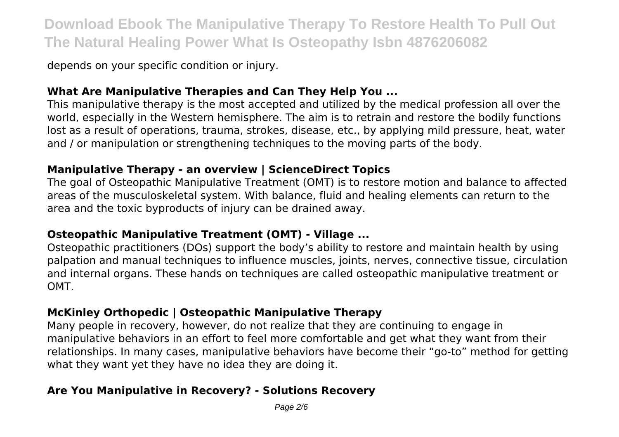depends on your specific condition or injury.

### **What Are Manipulative Therapies and Can They Help You ...**

This manipulative therapy is the most accepted and utilized by the medical profession all over the world, especially in the Western hemisphere. The aim is to retrain and restore the bodily functions lost as a result of operations, trauma, strokes, disease, etc., by applying mild pressure, heat, water and / or manipulation or strengthening techniques to the moving parts of the body.

### **Manipulative Therapy - an overview | ScienceDirect Topics**

The goal of Osteopathic Manipulative Treatment (OMT) is to restore motion and balance to affected areas of the musculoskeletal system. With balance, fluid and healing elements can return to the area and the toxic byproducts of injury can be drained away.

### **Osteopathic Manipulative Treatment (OMT) - Village ...**

Osteopathic practitioners (DOs) support the body's ability to restore and maintain health by using palpation and manual techniques to influence muscles, joints, nerves, connective tissue, circulation and internal organs. These hands on techniques are called osteopathic manipulative treatment or OMT.

# **McKinley Orthopedic | Osteopathic Manipulative Therapy**

Many people in recovery, however, do not realize that they are continuing to engage in manipulative behaviors in an effort to feel more comfortable and get what they want from their relationships. In many cases, manipulative behaviors have become their "go-to" method for getting what they want yet they have no idea they are doing it.

# **Are You Manipulative in Recovery? - Solutions Recovery**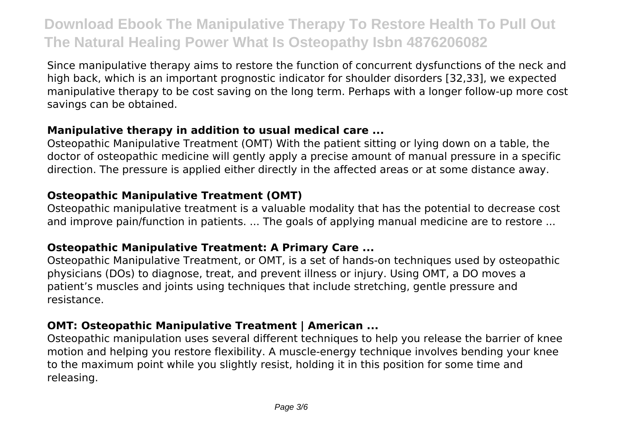Since manipulative therapy aims to restore the function of concurrent dysfunctions of the neck and high back, which is an important prognostic indicator for shoulder disorders [32,33], we expected manipulative therapy to be cost saving on the long term. Perhaps with a longer follow-up more cost savings can be obtained.

### **Manipulative therapy in addition to usual medical care ...**

Osteopathic Manipulative Treatment (OMT) With the patient sitting or lying down on a table, the doctor of osteopathic medicine will gently apply a precise amount of manual pressure in a specific direction. The pressure is applied either directly in the affected areas or at some distance away.

# **Osteopathic Manipulative Treatment (OMT)**

Osteopathic manipulative treatment is a valuable modality that has the potential to decrease cost and improve pain/function in patients. ... The goals of applying manual medicine are to restore ...

# **Osteopathic Manipulative Treatment: A Primary Care ...**

Osteopathic Manipulative Treatment, or OMT, is a set of hands-on techniques used by osteopathic physicians (DOs) to diagnose, treat, and prevent illness or injury. Using OMT, a DO moves a patient's muscles and joints using techniques that include stretching, gentle pressure and resistance.

### **OMT: Osteopathic Manipulative Treatment | American ...**

Osteopathic manipulation uses several different techniques to help you release the barrier of knee motion and helping you restore flexibility. A muscle-energy technique involves bending your knee to the maximum point while you slightly resist, holding it in this position for some time and releasing.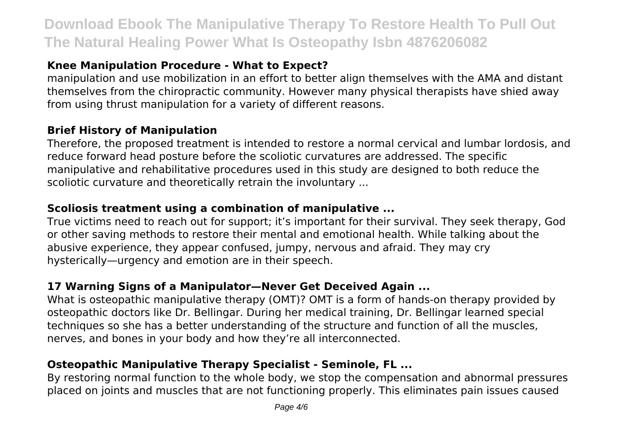# **Knee Manipulation Procedure - What to Expect?**

manipulation and use mobilization in an effort to better align themselves with the AMA and distant themselves from the chiropractic community. However many physical therapists have shied away from using thrust manipulation for a variety of different reasons.

#### **Brief History of Manipulation**

Therefore, the proposed treatment is intended to restore a normal cervical and lumbar lordosis, and reduce forward head posture before the scoliotic curvatures are addressed. The specific manipulative and rehabilitative procedures used in this study are designed to both reduce the scoliotic curvature and theoretically retrain the involuntary ...

#### **Scoliosis treatment using a combination of manipulative ...**

True victims need to reach out for support; it's important for their survival. They seek therapy, God or other saving methods to restore their mental and emotional health. While talking about the abusive experience, they appear confused, jumpy, nervous and afraid. They may cry hysterically—urgency and emotion are in their speech.

### **17 Warning Signs of a Manipulator—Never Get Deceived Again ...**

What is osteopathic manipulative therapy (OMT)? OMT is a form of hands-on therapy provided by osteopathic doctors like Dr. Bellingar. During her medical training, Dr. Bellingar learned special techniques so she has a better understanding of the structure and function of all the muscles, nerves, and bones in your body and how they're all interconnected.

### **Osteopathic Manipulative Therapy Specialist - Seminole, FL ...**

By restoring normal function to the whole body, we stop the compensation and abnormal pressures placed on joints and muscles that are not functioning properly. This eliminates pain issues caused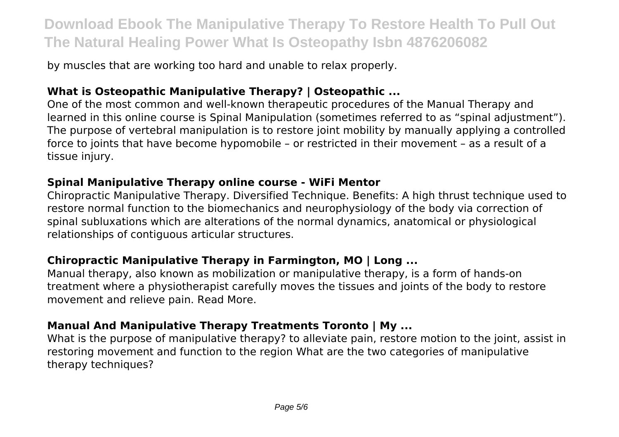by muscles that are working too hard and unable to relax properly.

### **What is Osteopathic Manipulative Therapy? | Osteopathic ...**

One of the most common and well-known therapeutic procedures of the Manual Therapy and learned in this online course is Spinal Manipulation (sometimes referred to as "spinal adjustment"). The purpose of vertebral manipulation is to restore joint mobility by manually applying a controlled force to joints that have become hypomobile – or restricted in their movement – as a result of a tissue injury.

#### **Spinal Manipulative Therapy online course - WiFi Mentor**

Chiropractic Manipulative Therapy. Diversified Technique. Benefits: A high thrust technique used to restore normal function to the biomechanics and neurophysiology of the body via correction of spinal subluxations which are alterations of the normal dynamics, anatomical or physiological relationships of contiguous articular structures.

### **Chiropractic Manipulative Therapy in Farmington, MO | Long ...**

Manual therapy, also known as mobilization or manipulative therapy, is a form of hands-on treatment where a physiotherapist carefully moves the tissues and joints of the body to restore movement and relieve pain. Read More.

### **Manual And Manipulative Therapy Treatments Toronto | My ...**

What is the purpose of manipulative therapy? to alleviate pain, restore motion to the joint, assist in restoring movement and function to the region What are the two categories of manipulative therapy techniques?